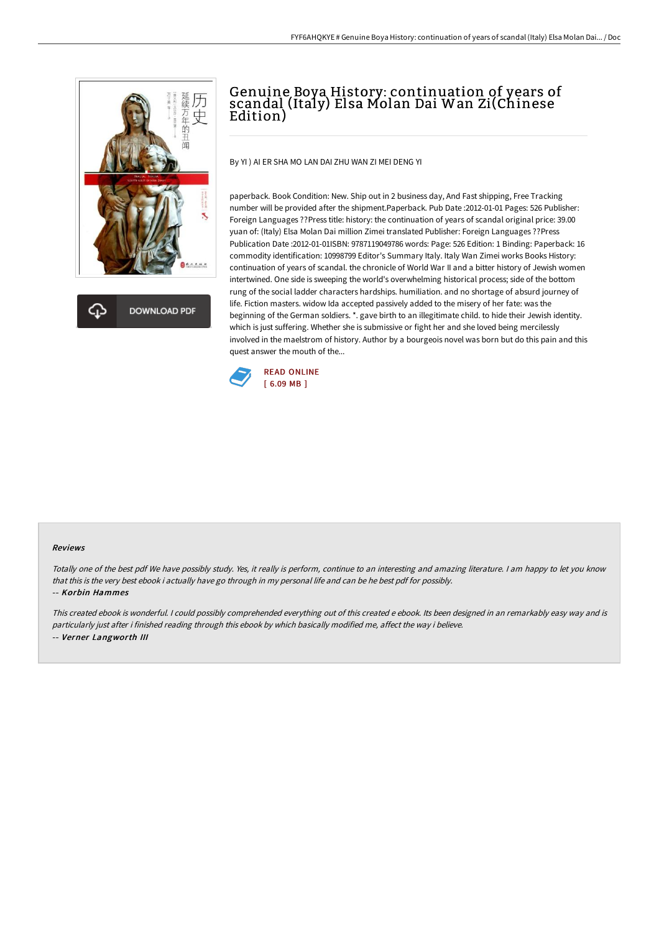



# Genuine Boya History: continuation of years of scandal (Italy) Elsa Molan Dai Wan Zi(Chinese Edition)

By YI ) AI ER SHA MO LAN DAI ZHU WAN ZI MEI DENG YI

paperback. Book Condition: New. Ship out in 2 business day, And Fast shipping, Free Tracking number will be provided after the shipment.Paperback. Pub Date :2012-01-01 Pages: 526 Publisher: Foreign Languages ??Press title: history: the continuation of years of scandal original price: 39.00 yuan of: (Italy) Elsa Molan Dai million Zimei translated Publisher: Foreign Languages ??Press Publication Date :2012-01-01ISBN: 9787119049786 words: Page: 526 Edition: 1 Binding: Paperback: 16 commodity identification: 10998799 Editor's Summary Italy. Italy Wan Zimei works Books History: continuation of years of scandal. the chronicle of World War II and a bitter history of Jewish women intertwined. One side is sweeping the world's overwhelming historical process; side of the bottom rung of the social ladder characters hardships. humiliation. and no shortage of absurd journey of life. Fiction masters. widow Ida accepted passively added to the misery of her fate: was the beginning of the German soldiers. \*. gave birth to an illegitimate child. to hide their Jewish identity. which is just suffering. Whether she is submissive or fight her and she loved being mercilessly involved in the maelstrom of history. Author by a bourgeois novel was born but do this pain and this quest answer the mouth of the...



#### Reviews

Totally one of the best pdf We have possibly study. Yes, it really is perform, continue to an interesting and amazing literature. <sup>I</sup> am happy to let you know that this is the very best ebook i actually have go through in my personal life and can be he best pdf for possibly.

### -- Korbin Hammes

This created ebook is wonderful. <sup>I</sup> could possibly comprehended everything out of this created <sup>e</sup> ebook. Its been designed in an remarkably easy way and is particularly just after i finished reading through this ebook by which basically modified me, affect the way i believe. -- Verner Langworth III